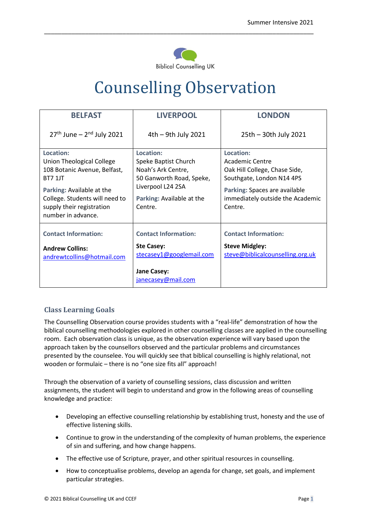

\_\_\_\_\_\_\_\_\_\_\_\_\_\_\_\_\_\_\_\_\_\_\_\_\_\_\_\_\_\_\_\_\_\_\_\_\_\_\_\_\_\_\_\_\_\_\_\_\_\_\_\_\_\_\_\_\_\_\_\_\_\_\_\_\_\_\_\_\_\_\_\_\_\_\_\_\_\_\_

# Counselling Observation

| <b>BELFAST</b>                                                                                                                                                                                             | <b>LIVERPOOL</b>                                                                                                                                 | <b>LONDON</b>                                                                                                                                                              |
|------------------------------------------------------------------------------------------------------------------------------------------------------------------------------------------------------------|--------------------------------------------------------------------------------------------------------------------------------------------------|----------------------------------------------------------------------------------------------------------------------------------------------------------------------------|
| $27th$ June – $2nd$ July 2021                                                                                                                                                                              | $4th - 9th$ July 2021                                                                                                                            | 25th - 30th July 2021                                                                                                                                                      |
| Location:<br>Union Theological College<br>108 Botanic Avenue, Belfast,<br><b>BT7 1JT</b><br>Parking: Available at the<br>College. Students will need to<br>supply their registration<br>number in advance. | Location:<br>Speke Baptist Church<br>Noah's Ark Centre,<br>50 Ganworth Road, Speke,<br>Liverpool L24 2SA<br>Parking: Available at the<br>Centre. | Location:<br>Academic Centre<br>Oak Hill College, Chase Side,<br>Southgate, London N14 4PS<br>Parking: Spaces are available<br>immediately outside the Academic<br>Centre. |
| <b>Contact Information:</b><br><b>Andrew Collins:</b><br>andrewtcollins@hotmail.com                                                                                                                        | <b>Contact Information:</b><br><b>Ste Casey:</b><br>stecasey1@googlemail.com<br>Jane Casey:<br>janecasey@mail.com                                | <b>Contact Information:</b><br><b>Steve Midgley:</b><br>steve@biblicalcounselling.org.uk                                                                                   |

## **Class Learning Goals**

The Counselling Observation course provides students with a "real-life" demonstration of how the biblical counselling methodologies explored in other counselling classes are applied in the counselling room. Each observation class is unique, as the observation experience will vary based upon the approach taken by the counsellors observed and the particular problems and circumstances presented by the counselee. You will quickly see that biblical counselling is highly relational, not wooden or formulaic – there is no "one size fits all" approach!

Through the observation of a variety of counselling sessions, class discussion and written assignments, the student will begin to understand and grow in the following areas of counselling knowledge and practice:

- Developing an effective counselling relationship by establishing trust, honesty and the use of effective listening skills.
- Continue to grow in the understanding of the complexity of human problems, the experience of sin and suffering, and how change happens.
- The effective use of Scripture, prayer, and other spiritual resources in counselling.
- How to conceptualise problems, develop an agenda for change, set goals, and implement particular strategies.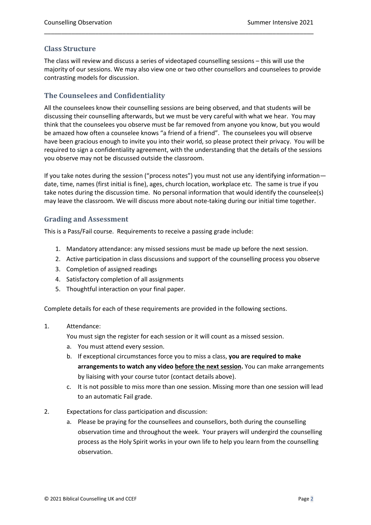#### **Class Structure**

The class will review and discuss a series of videotaped counselling sessions – this will use the majority of our sessions. We may also view one or two other counsellors and counselees to provide contrasting models for discussion.

\_\_\_\_\_\_\_\_\_\_\_\_\_\_\_\_\_\_\_\_\_\_\_\_\_\_\_\_\_\_\_\_\_\_\_\_\_\_\_\_\_\_\_\_\_\_\_\_\_\_\_\_\_\_\_\_\_\_\_\_\_\_\_\_\_\_\_\_\_\_\_\_\_\_\_\_\_\_\_

### **The Counselees and Confidentiality**

All the counselees know their counselling sessions are being observed, and that students will be discussing their counselling afterwards, but we must be very careful with what we hear. You may think that the counselees you observe must be far removed from anyone you know, but you would be amazed how often a counselee knows "a friend of a friend". The counselees you will observe have been gracious enough to invite you into their world, so please protect their privacy. You will be required to sign a confidentiality agreement, with the understanding that the details of the sessions you observe may not be discussed outside the classroom.

If you take notes during the session ("process notes") you must not use any identifying information date, time, names (first initial is fine), ages, church location, workplace etc. The same is true if you take notes during the discussion time. No personal information that would identify the counselee(s) may leave the classroom. We will discuss more about note-taking during our initial time together.

#### **Grading and Assessment**

This is a Pass/Fail course. Requirements to receive a passing grade include:

- 1. Mandatory attendance: any missed sessions must be made up before the next session.
- 2. Active participation in class discussions and support of the counselling process you observe
- 3. Completion of assigned readings
- 4. Satisfactory completion of all assignments
- 5. Thoughtful interaction on your final paper.

Complete details for each of these requirements are provided in the following sections.

#### 1. Attendance:

You must sign the register for each session or it will count as a missed session.

- a. You must attend every session.
- b. If exceptional circumstances force you to miss a class, **you are required to make arrangements to watch any video before the next session.** You can make arrangements by liaising with your course tutor (contact details above).
- c. It is not possible to miss more than one session. Missing more than one session will lead to an automatic Fail grade.
- 2. Expectations for class participation and discussion:
	- a. Please be praying for the counsellees and counsellors, both during the counselling observation time and throughout the week. Your prayers will undergird the counselling process as the Holy Spirit works in your own life to help you learn from the counselling observation.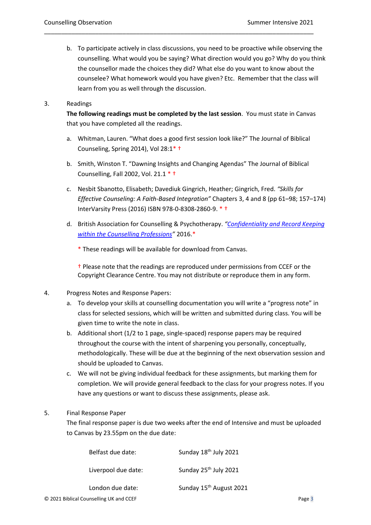b. To participate actively in class discussions, you need to be proactive while observing the counselling. What would you be saying? What direction would you go? Why do you think the counsellor made the choices they did? What else do you want to know about the counselee? What homework would you have given? Etc. Remember that the class will learn from you as well through the discussion.

\_\_\_\_\_\_\_\_\_\_\_\_\_\_\_\_\_\_\_\_\_\_\_\_\_\_\_\_\_\_\_\_\_\_\_\_\_\_\_\_\_\_\_\_\_\_\_\_\_\_\_\_\_\_\_\_\_\_\_\_\_\_\_\_\_\_\_\_\_\_\_\_\_\_\_\_\_\_\_

#### 3. Readings

**The following readings must be completed by the last session**. You must state in Canvas that you have completed all the readings.

- a. Whitman, Lauren. "What does a good first session look like?" The Journal of Biblical Counseling, Spring 2014), Vol 28:1\* †
- b. Smith, Winston T. "Dawning Insights and Changing Agendas" The Journal of Biblical Counselling, Fall 2002, Vol. 21.1 \* †
- c. Nesbit Sbanotto, Elisabeth; Davediuk Gingrich, Heather; Gingrich, Fred. *"Skills for Effective Counseling: A Faith-Based Integration"* Chapters 3, 4 and 8 (pp 61–98; 157–174) InterVarsity Press (2016) ISBN 978-0-8308-2860-9. \* †
- d. British Association for Counselling & Psychotherapy. *"[Confidentiality and Record Keeping](http://bacp.co.uk/media/2138/bacp-confidentiality-record-keeping-clinical-reflections-for-practice-gpia065.pdf)  [within the Counselling Professions](http://bacp.co.uk/media/2138/bacp-confidentiality-record-keeping-clinical-reflections-for-practice-gpia065.pdf)"* 2016.\*

\* These readings will be available for download from Canvas.

† Please note that the readings are reproduced under permissions from CCEF or the Copyright Clearance Centre. You may not distribute or reproduce them in any form.

#### 4. Progress Notes and Response Papers:

- a. To develop your skills at counselling documentation you will write a "progress note" in class for selected sessions, which will be written and submitted during class. You will be given time to write the note in class.
- b. Additional short (1/2 to 1 page, single-spaced) response papers may be required throughout the course with the intent of sharpening you personally, conceptually, methodologically. These will be due at the beginning of the next observation session and should be uploaded to Canvas.
- c. We will not be giving individual feedback for these assignments, but marking them for completion. We will provide general feedback to the class for your progress notes. If you have any questions or want to discuss these assignments, please ask.

#### 5. Final Response Paper

The final response paper is due two weeks after the end of Intensive and must be uploaded to Canvas by 23.55pm on the due date:

| Belfast due date:     | Sunday 18 <sup>th</sup> July 2021   |
|-----------------------|-------------------------------------|
| Liverpool due date:   | Sunday 25 <sup>th</sup> July 2021   |
| London due date:<br>. | Sunday 15 <sup>th</sup> August 2021 |